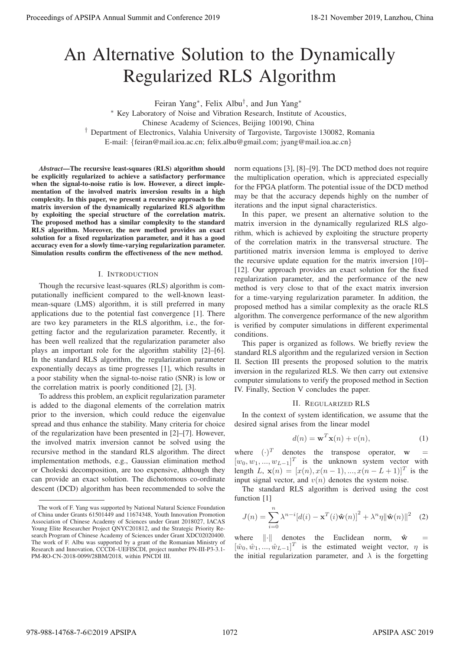# An Alternative Solution to the Dynamically Regularized RLS Algorithm

Feiran Yang∗, Felix Albu†, and Jun Yang∗ ∗ Key Laboratory of Noise and Vibration Research, Institute of Acoustics, Chinese Academy of Sciences, Beijing 100190, China † Department of Electronics, Valahia University of Targoviste, Targoviste 130082, Romania E-mail: {feiran@mail.ioa.ac.cn; felix.albu@gmail.com; jyang@mail.ioa.ac.cn}

*Abstract*—The recursive least-squares (RLS) algorithm should be explicitly regularized to achieve a satisfactory performance when the signal-to-noise ratio is low. However, a direct implementation of the involved matrix inversion results in a high complexity. In this paper, we present a recursive approach to the matrix inversion of the dynamically regularized RLS algorithm by exploiting the special structure of the correlation matrix. The proposed method has a similar complexity to the standard RLS algorithm. Moreover, the new method provides an exact solution for a fixed regularization parameter, and it has a good accuracy even for a slowly time-varying regularization parameter. Simulation results confirm the effectiveness of the new method.

## I. INTRODUCTION

Though the recursive least-squares (RLS) algorithm is computationally inefficient compared to the well-known leastmean-square (LMS) algorithm, it is still preferred in many applications due to the potential fast convergence [1]. There are two key parameters in the RLS algorithm, i.e., the forgetting factor and the regularization parameter. Recently, it has been well realized that the regularization parameter also plays an important role for the algorithm stability [2]–[6]. In the standard RLS algorithm, the regularization parameter exponentially decays as time progresses [1], which results in a poor stability when the signal-to-noise ratio (SNR) is low or the correlation matrix is poorly conditioned [2], [3].

To address this problem, an explicit regularization parameter is added to the diagonal elements of the correlation matrix prior to the inversion, which could reduce the eigenvalue spread and thus enhance the stability. Many criteria for choice of the regularization have been presented in [2]–[7]. However, the involved matrix inversion cannot be solved using the recursive method in the standard RLS algorithm. The direct implementation methods, e.g., Gaussian elimination method or Choleski decomposition, are too expensive, although they can provide an exact solution. The dichotomous co-ordinate descent (DCD) algorithm has been recommended to solve the

norm equations [3], [8]–[9]. The DCD method does not require the multiplication operation, which is appreciated especially for the FPGA platform. The potential issue of the DCD method may be that the accuracy depends highly on the number of iterations and the input signal characteristics.

In this paper, we present an alternative solution to the matrix inversion in the dynamically regularized RLS algorithm, which is achieved by exploiting the structure property of the correlation matrix in the transversal structure. The partitioned matrix inversion lemma is employed to derive the recursive update equation for the matrix inversion [10]– [12]. Our approach provides an exact solution for the fixed regularization parameter, and the performance of the new method is very close to that of the exact matrix inversion for a time-varying regularization parameter. In addition, the proposed method has a similar complexity as the oracle RLS algorithm. The convergence performance of the new algorithm is verified by computer simulations in different experimental conditions. Proceedings of APSIPA Annual Summit and Conference 2019 18-21 November 2019, Lanzhou, China 978-988-14768-7-6©2019 APSIPA 1072 APSIPA ASC 2019

This paper is organized as follows. We briefly review the standard RLS algorithm and the regularized version in Section II. Section III presents the proposed solution to the matrix inversion in the regularized RLS. We then carry out extensive computer simulations to verify the proposed method in Section IV. Finally, Section V concludes the paper.

# II. REGULARIZED RLS

In the context of system identification, we assume that the desired signal arises from the linear model

$$
d(n) = \mathbf{w}^T \mathbf{x}(n) + v(n),
$$
 (1)

where  $(\cdot)^T$  denotes the transpose operator, w  $[w_0, w_1, ..., w_{L-1}]^T$  is the unknown system vector with length L,  $\mathbf{x}(n)=[x(n), x(n-1), ..., x(n-L+1)]^T$  is the input signal vector, and  $v(n)$  denotes the system noise.

The standard RLS algorithm is derived using the cost function [1]

$$
J(n) = \sum_{i=0}^{n} \lambda^{n-i} [d(i) - \mathbf{x}^T(i)\hat{\mathbf{w}}(n)]^2 + \lambda^n \eta ||\hat{\mathbf{w}}(n)||^2 \quad (2)
$$

where  $\cdot$  denotes the Euclidean norm,  $\hat{\mathbf{w}}$  =  $[\hat{w}_0, \hat{w}_1, \dots, \hat{w}_{L-1}]^T$  is the estimated weight vector,  $\eta$  is the initial regularization parameter, and  $\lambda$  is the forgetting

The work of F. Yang was supported by National Natural Science Foundation of China under Grants 61501449 and 11674348, Youth Innovation Promotion Association of Chinese Academy of Sciences under Grant 2018027, IACAS Young Elite Researcher Project QNYC201812, and the Strategic Priority Research Program of Chinese Academy of Sciences under Grant XDC02020400. The work of F. Albu was supported by a grant of the Romanian Ministry of Research and Innovation, CCCDI–UEFISCDI, project number PN-III-P3-3.1- PM-RO-CN-2018-0099/28BM/2018, within PNCDI III.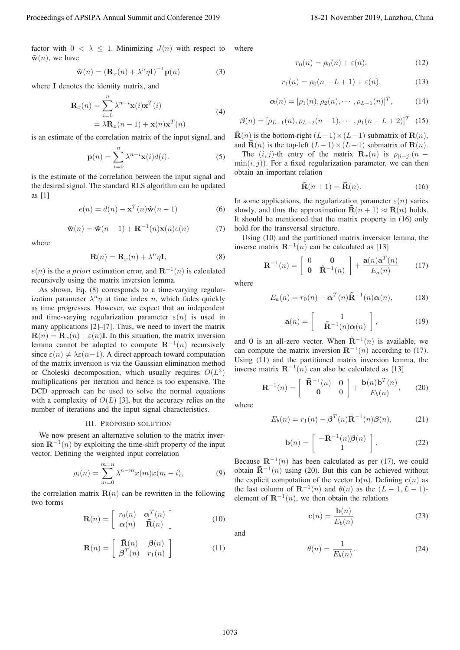factor with  $0 < \lambda \leq 1$ . Minimizing  $J(n)$  with respect to  $\hat{\mathbf{w}}(n)$ , we have

$$
\hat{\mathbf{w}}(n) = \left(\mathbf{R}_x(n) + \lambda^n \eta \mathbf{I}\right)^{-1} \mathbf{p}(n) \tag{3}
$$

where **I** denotes the identity matrix, and

$$
\mathbf{R}_x(n) = \sum_{i=0}^n \lambda^{n-i} \mathbf{x}(i) \mathbf{x}^T(i)
$$
  
=  $\lambda \mathbf{R}_x(n-1) + \mathbf{x}(n) \mathbf{x}^T(n)$  (4)

is an estimate of the correlation matrix of the input signal, and

$$
\mathbf{p}(n) = \sum_{i=0}^{n} \lambda^{n-i} \mathbf{x}(i) d(i).
$$
 (5)

is the estimate of the correlation between the input signal and the desired signal. The standard RLS algorithm can be updated as [1]

$$
e(n) = d(n) - \mathbf{x}^{T}(n)\hat{\mathbf{w}}(n-1)
$$
 (6)

$$
\hat{\mathbf{w}}(n) = \hat{\mathbf{w}}(n-1) + \mathbf{R}^{-1}(n)\mathbf{x}(n)e(n)
$$
 (7)

where

$$
\mathbf{R}(n) = \mathbf{R}_x(n) + \lambda^n \eta \mathbf{I},\tag{8}
$$

 $e(n)$  is the *a priori* estimation error, and **R**<sup>−1</sup>(*n*) is calculated recursively using the matrix inversion lemma.

As shown, Eq. (8) corresponds to a time-varying regularization parameter  $\lambda^n \eta$  at time index *n*, which fades quickly as time progresses. However, we expect that an independent and time-varying regularization parameter  $\varepsilon(n)$  is used in many applications [2]–[7]. Thus, we need to invert the matrix  $\mathbf{R}(n) = \mathbf{R}_x(n) + \varepsilon(n)\mathbf{I}$ . In this situation, the matrix inversion lemma cannot be adopted to compute  $\mathbb{R}^{-1}(n)$  recursively since  $\varepsilon(n) \neq \lambda \varepsilon(n-1)$ . A direct approach toward computation of the matrix inversion is via the Gaussian elimination method or Choleski decomposition, which usually requires  $O(L^3)$ multiplications per iteration and hence is too expensive. The DCD approach can be used to solve the normal equations with a complexity of  $O(L)$  [3], but the accuracy relies on the number of iterations and the input signal characteristics. Procedure of APSIPA Annual Summit and Conference 2019<br>
Revise and Conference 2019<br>
We are the conference 2019<br>
We are the conference 2019<br>
We are the conference 2019<br>
We are the conference 2019<br>
We are the conference 2019

#### III. PROPOSED SOLUTION

We now present an alternative solution to the matrix inversion  $\mathbf{R}^{-1}(n)$  by exploiting the time-shift property of the input vector. Defining the weighted input correlation

$$
\rho_i(n) = \sum_{m=0}^{m=n} \lambda^{n-m} x(m) x(m-i),
$$
 (9)

the correlation matrix  $\mathbf{R}(n)$  can be rewritten in the following two forms

$$
\mathbf{R}(n) = \begin{bmatrix} r_0(n) & \boldsymbol{\alpha}^T(n) \\ \boldsymbol{\alpha}(n) & \tilde{\mathbf{R}}(n) \end{bmatrix}
$$
 (10)

$$
\mathbf{R}(n) = \begin{bmatrix} \bar{\mathbf{R}}(n) & \mathbf{\beta}(n) \\ \mathbf{\beta}^T(n) & r_1(n) \end{bmatrix}
$$
 (11)

where

$$
r_0(n) = \rho_0(n) + \varepsilon(n), \tag{12}
$$

$$
r_1(n) = \rho_0(n - L + 1) + \varepsilon(n),
$$
 (13)

$$
\boldsymbol{\alpha}(n) = [\rho_1(n), \rho_2(n), \cdots, \rho_{L-1}(n)]^T, \quad (14)
$$

$$
\boldsymbol{\beta}(n) = [\rho_{L-1}(n), \rho_{L-2}(n-1), \cdots, \rho_1(n-L+2)]^T
$$
 (15)

 $\mathbf{R}(n)$  is the bottom-right  $(L-1) \times (L-1)$  submatrix of  $\mathbf{R}(n)$ , and  $\overline{\mathbf{R}}(n)$  is the top-left  $(L-1) \times (L-1)$  submatrix of  $\mathbf{R}(n)$ .

The  $(i, j)$ -th entry of the matrix **R**<sub>x</sub> $(n)$  is  $\rho_{|i-j|}(n \min(i, j)$ ). For a fixed regularization parameter, we can then obtain an important relation

$$
\tilde{\mathbf{R}}(n+1) = \bar{\mathbf{R}}(n). \tag{16}
$$

In some applications, the regularization parameter  $\varepsilon(n)$  varies slowly, and thus the approximation  $\tilde{\mathbf{R}}(n+1) \approx \tilde{\mathbf{R}}(n)$  holds. It should be mentioned that the matrix property in (16) only hold for the transversal structure.

Using (10) and the partitioned matrix inversion lemma, the inverse matrix  $\mathbf{R}^{-1}(n)$  can be calculated as [13]

$$
\mathbf{R}^{-1}(n) = \begin{bmatrix} 0 & \mathbf{0} \\ \mathbf{0} & \tilde{\mathbf{R}}^{-1}(n) \end{bmatrix} + \frac{\mathbf{a}(n)\mathbf{a}^{T}(n)}{E_{a}(n)} \qquad (17)
$$

where

$$
E_a(n) = r_0(n) - \alpha^T(n)\tilde{\mathbf{R}}^{-1}(n)\alpha(n), \qquad (18)
$$

$$
\mathbf{a}(n) = \begin{bmatrix} 1 \\ -\tilde{\mathbf{R}}^{-1}(n)\alpha(n) \end{bmatrix},
$$
(19)

and **0** is an all-zero vector. When  $\tilde{\mathbf{R}}^{-1}(n)$  is available, we can compute the matrix inversion  $\mathbf{R}^{-1}(n)$  according to (17). Using (11) and the partitioned matrix inversion lemma, the inverse matrix  $\mathbf{R}^{-1}(n)$  can also be calculated as [13]

$$
\mathbf{R}^{-1}(n) = \begin{bmatrix} \bar{\mathbf{R}}^{-1}(n) & \mathbf{0} \\ \mathbf{0} & 0 \end{bmatrix} + \frac{\mathbf{b}(n)\mathbf{b}^{T}(n)}{E_{b}(n)}, \qquad (20)
$$

where

$$
E_b(n) = r_1(n) - \beta^T(n)\bar{\mathbf{R}}^{-1}(n)\beta(n),\tag{21}
$$

$$
\mathbf{b}(n) = \begin{bmatrix} -\bar{\mathbf{R}}^{-1}(n)\beta(n) \\ 1 \end{bmatrix}.
$$
 (22)

Because  $\mathbb{R}^{-1}(n)$  has been calculated as per (17), we could obtain  $\bar{\mathbf{R}}^{-1}(n)$  using (20). But this can be achieved without the explicit computation of the vector  $\mathbf{b}(n)$ . Defining  $\mathbf{c}(n)$  as the last column of  $\mathbf{R}^{-1}(n)$  and  $\theta(n)$  as the  $(L-1, L-1)$ element of  $\mathbf{R}^{-1}(n)$ , we then obtain the relations

$$
\mathbf{c}(n) = \frac{\mathbf{b}(n)}{E_b(n)}\tag{23}
$$

and

$$
\theta(n) = \frac{1}{E_b(n)}.\tag{24}
$$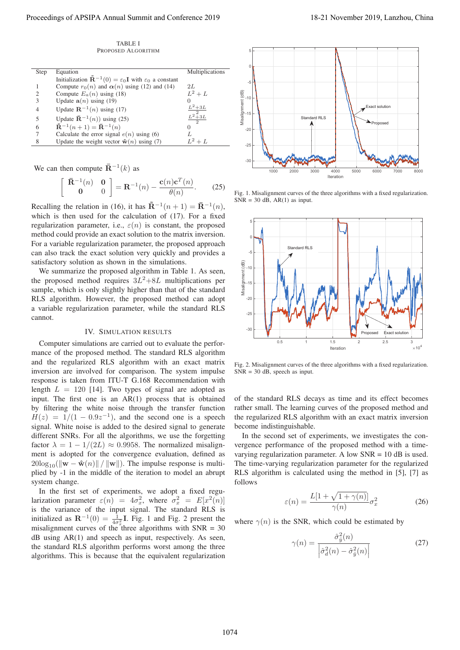TABLE I PROPOSED ALGORITHM

| Step                        | Equation                                                                                               | <b>Multiplications</b> |
|-----------------------------|--------------------------------------------------------------------------------------------------------|------------------------|
|                             | Initialization $\tilde{\mathbf{R}}^{-1}(0) = \varepsilon_0 \mathbf{I}$ with $\varepsilon_0$ a constant |                        |
|                             | Compute $r_0(n)$ and $\alpha(n)$ using (12) and (14)                                                   | 2L                     |
| $\mathcal{D}_{\mathcal{A}}$ | Compute $E_a(n)$ using (18)                                                                            | $L^2+L$                |
|                             | Update $a(n)$ using (19)                                                                               |                        |
|                             | Update $\mathbf{R}^{-1}(n)$ using (17)                                                                 | $L^2+3L$               |
|                             | Update $\bar{\mathbf{R}}^{-1}(n)$ using (25)                                                           | $\frac{L^2 + 3L}{2}$   |
| 6                           | $\tilde{\mathbf{R}}^{-1}(n+1) = \bar{\mathbf{R}}^{-1}(n)$                                              | $\mathbf{0}$           |
|                             | Calculate the error signal $e(n)$ using (6)                                                            |                        |
| 8                           | Update the weight vector $\hat{\mathbf{w}}(n)$ using (7)                                               | $L^2+L$                |
|                             |                                                                                                        |                        |

We can then compute  $\bar{\mathbf{R}}^{-1}(k)$  as

$$
\left[\begin{array}{cc} \bar{\mathbf{R}}^{-1}(n) & \mathbf{0} \\ \mathbf{0} & 0 \end{array}\right] = \mathbf{R}^{-1}(n) - \frac{\mathbf{c}(n)\mathbf{c}^{T}(n)}{\theta(n)}.
$$
 (25)

Recalling the relation in (16), it has  $\tilde{\mathbf{R}}^{-1}(n+1) = \bar{\mathbf{R}}^{-1}(n)$ , which is then used for the calculation of (17). For a fixed regularization parameter, i.e.,  $\varepsilon(n)$  is constant, the proposed method could provide an exact solution to the matrix inversion. For a variable regularization parameter, the proposed approach can also track the exact solution very quickly and provides a satisfactory solution as shown in the simulations.

We summarize the proposed algorithm in Table 1. As seen, the proposed method requires  $3L^2+8L$  multiplications per sample, which is only slightly higher than that of the standard RLS algorithm. However, the proposed method can adopt a variable regularization parameter, while the standard RLS cannot.

### IV. SIMULATION RESULTS

Computer simulations are carried out to evaluate the performance of the proposed method. The standard RLS algorithm and the regularized RLS algorithm with an exact matrix inversion are involved for comparison. The system impulse response is taken from ITU-T G.168 Recommendation with length  $L = 120$  [14]. Two types of signal are adopted as input. The first one is an AR(1) process that is obtained by filtering the white noise through the transfer function  $H(z) = 1/(1 - 0.9z^{-1})$ , and the second one is a speech signal. White noise is added to the desired signal to generate different SNRs. For all the algorithms, we use the forgetting factor  $\lambda = 1 - 1/(2L) \approx 0.9958$ . The normalized misalignment is adopted for the convergence evaluation, defined as  $20\log_{10}(\|\mathbf{w} - \hat{\mathbf{w}}(n)\| / \|\mathbf{w}\|)$ . The impulse response is multiplied by -1 in the middle of the iteration to model an abrupt system change.

In the first set of experiments, we adopt a fixed regularization parameter  $\varepsilon(n) = 4\sigma_x^2$ , where  $\sigma_x^2 = E[x^2(n)]$ is the variance of the input signal. The standard RLS is initialized as  $\mathbf{R}^{-1}(0) = \frac{1}{4\sigma_x^2} \mathbf{I}$ . Fig. 1 and Fig. 2 present the misalignment curves of the three algorithms with  $SNR = 30$ dB using AR(1) and speech as input, respectively. As seen, the standard RLS algorithm performs worst among the three algorithms. This is because that the equivalent regularization



Fig. 1. Misalignment curves of the three algorithms with a fixed regularization.  $SNR = 30$  dB,  $AR(1)$  as input.



Fig. 2. Misalignment curves of the three algorithms with a fixed regularization.  $SNR = 30$  dB, speech as input.

of the standard RLS decays as time and its effect becomes rather small. The learning curves of the proposed method and the regularized RLS algorithm with an exact matrix inversion become indistinguishable.

In the second set of experiments, we investigates the convergence performance of the proposed method with a timevarying regularization parameter. A low  $SNR = 10$  dB is used. The time-varying regularization parameter for the regularized RLS algorithm is calculated using the method in [5], [7] as follows

$$
\varepsilon(n) = \frac{L[1 + \sqrt{1 + \gamma(n)}}{\gamma(n)} \sigma_x^2 \tag{26}
$$

where  $\gamma(n)$  is the SNR, which could be estimated by

$$
\gamma(n) = \frac{\hat{\sigma}_{\hat{y}}^2(n)}{\left|\hat{\sigma}_d^2(n) - \hat{\sigma}_{\hat{y}}^2(n)\right|} \tag{27}
$$